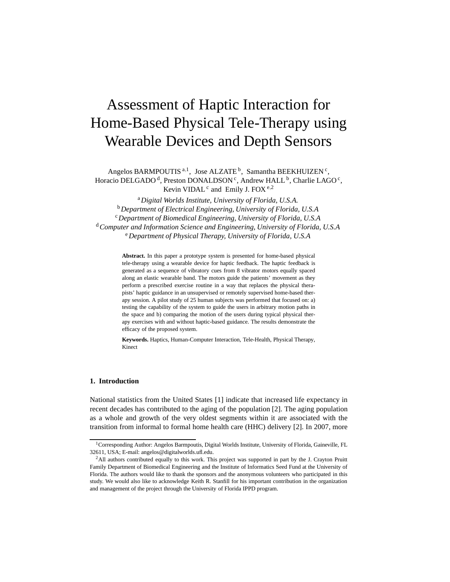# Assessment of Haptic Interaction for Home-Based Physical Tele-Therapy using Wearable Devices and Depth Sensors

Angelos BARMPOUTIS<sup>a,1</sup>, Jose ALZATE<sup>b</sup>, Samantha BEEKHUIZEN<sup>c</sup>, Horacio DELGADO<sup>d</sup>, Preston DONALDSON<sup>c</sup>, Andrew HALL <sup>b</sup>, Charlie LAGO<sup>c</sup>, Kevin VIDAL<sup>c</sup> and Emily J. FOX<sup>e,2</sup>

<sup>a</sup>*Digital Worlds Institute, University of Florida, U.S.A.* <sup>b</sup>*Department of Electrical Engineering, University of Florida, U.S.A* <sup>c</sup>*Department of Biomedical Engineering, University of Florida, U.S.A* <sup>d</sup>*Computer and Information Science and Engineering, University of Florida, U.S.A* <sup>e</sup>*Department of Physical Therapy, University of Florida, U.S.A*

> **Abstract.** In this paper a prototype system is presented for home-based physical tele-therapy using a wearable device for haptic feedback. The haptic feedback is generated as a sequence of vibratory cues from 8 vibrator motors equally spaced along an elastic wearable band. The motors guide the patients' movement as they perform a prescribed exercise routine in a way that replaces the physical therapists' haptic guidance in an unsupervised or remotely supervised home-based therapy session. A pilot study of 25 human subjects was performed that focused on: a) testing the capability of the system to guide the users in arbitrary motion paths in the space and b) comparing the motion of the users during typical physical therapy exercises with and without haptic-based guidance. The results demonstrate the efficacy of the proposed system.

> **Keywords.** Haptics, Human-Computer Interaction, Tele-Health, Physical Therapy, Kinect

# **1. Introduction**

National statistics from the United States [1] indicate that increased life expectancy in recent decades has contributed to the aging of the population [2]. The aging population as a whole and growth of the very oldest segments within it are associated with the transition from informal to formal home health care (HHC) delivery [2]. In 2007, more

<sup>&</sup>lt;sup>1</sup>Corresponding Author: Angelos Barmpoutis, Digital Worlds Institute, University of Florida, Gaineville, FL 32611, USA; E-mail: angelos@digitalworlds.ufl.edu.

<sup>&</sup>lt;sup>2</sup>All authors contributed equally to this work. This project was supported in part by the J. Crayton Pruitt Family Department of Biomedical Engineering and the Institute of Informatics Seed Fund at the University of Florida. The authors would like to thank the sponsors and the anonymous volunteers who participated in this study. We would also like to acknowledge Keith R. Stanfill for his important contribution in the organization and management of the project through the University of Florida IPPD program.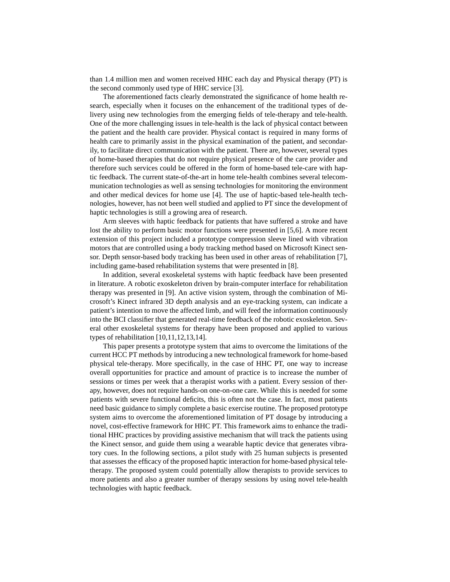than 1.4 million men and women received HHC each day and Physical therapy (PT) is the second commonly used type of HHC service [3].

The aforementioned facts clearly demonstrated the significance of home health research, especially when it focuses on the enhancement of the traditional types of delivery using new technologies from the emerging fields of tele-therapy and tele-health. One of the more challenging issues in tele-health is the lack of physical contact between the patient and the health care provider. Physical contact is required in many forms of health care to primarily assist in the physical examination of the patient, and secondarily, to facilitate direct communication with the patient. There are, however, several types of home-based therapies that do not require physical presence of the care provider and therefore such services could be offered in the form of home-based tele-care with haptic feedback. The current state-of-the-art in home tele-health combines several telecommunication technologies as well as sensing technologies for monitoring the environment and other medical devices for home use [4]. The use of haptic-based tele-health technologies, however, has not been well studied and applied to PT since the development of haptic technologies is still a growing area of research.

Arm sleeves with haptic feedback for patients that have suffered a stroke and have lost the ability to perform basic motor functions were presented in [5,6]. A more recent extension of this project included a prototype compression sleeve lined with vibration motors that are controlled using a body tracking method based on Microsoft Kinect sensor. Depth sensor-based body tracking has been used in other areas of rehabilitation [7], including game-based rehabilitation systems that were presented in [8].

In addition, several exoskeletal systems with haptic feedback have been presented in literature. A robotic exoskeleton driven by brain-computer interface for rehabilitation therapy was presented in [9]. An active vision system, through the combination of Microsoft's Kinect infrared 3D depth analysis and an eye-tracking system, can indicate a patient's intention to move the affected limb, and will feed the information continuously into the BCI classifier that generated real-time feedback of the robotic exoskeleton. Several other exoskeletal systems for therapy have been proposed and applied to various types of rehabilitation [10,11,12,13,14].

This paper presents a prototype system that aims to overcome the limitations of the current HCC PT methods by introducing a new technological framework for home-based physical tele-therapy. More specifically, in the case of HHC PT, one way to increase overall opportunities for practice and amount of practice is to increase the number of sessions or times per week that a therapist works with a patient. Every session of therapy, however, does not require hands-on one-on-one care. While this is needed for some patients with severe functional deficits, this is often not the case. In fact, most patients need basic guidance to simply complete a basic exercise routine. The proposed prototype system aims to overcome the aforementioned limitation of PT dosage by introducing a novel, cost-effective framework for HHC PT. This framework aims to enhance the traditional HHC practices by providing assistive mechanism that will track the patients using the Kinect sensor, and guide them using a wearable haptic device that generates vibratory cues. In the following sections, a pilot study with 25 human subjects is presented that assesses the efficacy of the proposed haptic interaction for home-based physical teletherapy. The proposed system could potentially allow therapists to provide services to more patients and also a greater number of therapy sessions by using novel tele-health technologies with haptic feedback.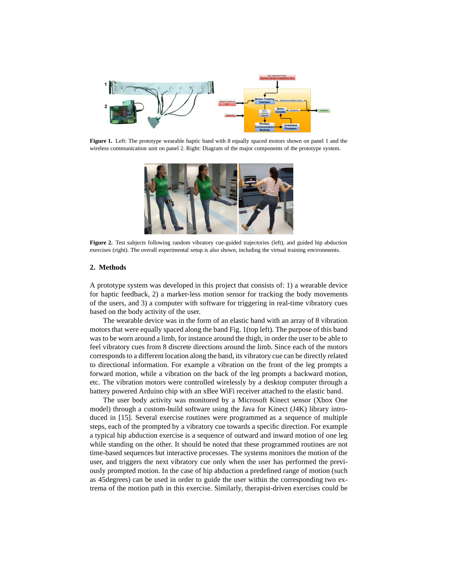

**Figure 1.** Left: The prototype wearable haptic band with 8 equally spaced motors shown on panel 1 and the wireless communication unit on panel 2. Right: Diagram of the major components of the prototype system.



**Figure 2.** Test subjects following random vibratory cue-guided trajectories (left), and guided hip abduction exercises (right). The overall experimental setup is also shown, including the virtual training environments.

### **2. Methods**

A prototype system was developed in this project that consists of: 1) a wearable device for haptic feedback, 2) a marker-less motion sensor for tracking the body movements of the users, and 3) a computer with software for triggering in real-time vibratory cues based on the body activity of the user.

The wearable device was in the form of an elastic band with an array of 8 vibration motors that were equally spaced along the band Fig. 1(top left). The purpose of this band was to be worn around a limb, for instance around the thigh, in order the user to be able to feel vibratory cues from 8 discrete directions around the limb. Since each of the motors corresponds to a different location along the band, its vibratory cue can be directly related to directional information. For example a vibration on the front of the leg prompts a forward motion, while a vibration on the back of the leg prompts a backward motion, etc. The vibration motors were controlled wirelessly by a desktop computer through a battery powered Arduino chip with an xBee WiFi receiver attached to the elastic band.

The user body activity was monitored by a Microsoft Kinect sensor (Xbox One model) through a custom-build software using the Java for Kinect (J4K) library introduced in [15]. Several exercise routines were programmed as a sequence of multiple steps, each of the prompted by a vibratory cue towards a specific direction. For example a typical hip abduction exercise is a sequence of outward and inward motion of one leg while standing on the other. It should be noted that these programmed routines are not time-based sequences but interactive processes. The systems monitors the motion of the user, and triggers the next vibratory cue only when the user has performed the previously prompted motion. In the case of hip abduction a predefined range of motion (such as 45degrees) can be used in order to guide the user within the corresponding two extrema of the motion path in this exercise. Similarly, therapist-driven exercises could be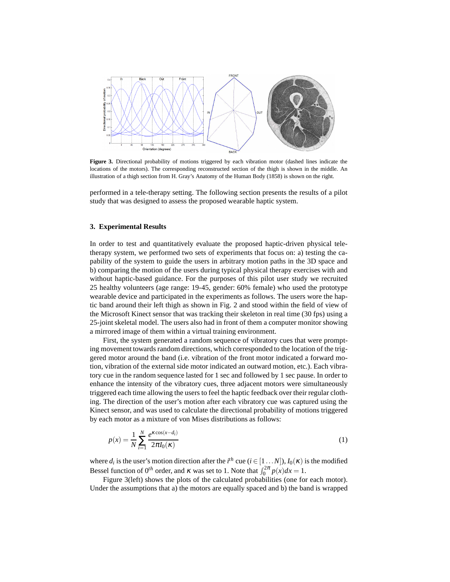

**Figure 3.** Directional probability of motions triggered by each vibration motor (dashed lines indicate the locations of the motors). The corresponding reconstructed section of the thigh is shown in the middle. An illustration of a thigh section from H. Gray's Anatomy of the Human Body (1858) is shown on the right.

performed in a tele-therapy setting. The following section presents the results of a pilot study that was designed to assess the proposed wearable haptic system.

## **3. Experimental Results**

In order to test and quantitatively evaluate the proposed haptic-driven physical teletherapy system, we performed two sets of experiments that focus on: a) testing the capability of the system to guide the users in arbitrary motion paths in the 3D space and b) comparing the motion of the users during typical physical therapy exercises with and without haptic-based guidance. For the purposes of this pilot user study we recruited 25 healthy volunteers (age range: 19-45, gender: 60% female) who used the prototype wearable device and participated in the experiments as follows. The users wore the haptic band around their left thigh as shown in Fig. 2 and stood within the field of view of the Microsoft Kinect sensor that was tracking their skeleton in real time (30 fps) using a 25-joint skeletal model. The users also had in front of them a computer monitor showing a mirrored image of them within a virtual training environment.

First, the system generated a random sequence of vibratory cues that were prompting movement towards random directions, which corresponded to the location of the triggered motor around the band (i.e. vibration of the front motor indicated a forward motion, vibration of the external side motor indicated an outward motion, etc.). Each vibratory cue in the random sequence lasted for 1 sec and followed by 1 sec pause. In order to enhance the intensity of the vibratory cues, three adjacent motors were simultaneously triggered each time allowing the users to feel the haptic feedback over their regular clothing. The direction of the user's motion after each vibratory cue was captured using the Kinect sensor, and was used to calculate the directional probability of motions triggered by each motor as a mixture of von Mises distributions as follows:

$$
p(x) = \frac{1}{N} \sum_{i=1}^{N} \frac{e^{\kappa \cos(x - d_i)}}{2\pi I_0(\kappa)}
$$
(1)

where  $d_i$  is the user's motion direction after the  $i^{th}$  cue ( $i \in [1...N]$ ),  $I_0(\kappa)$  is the modified Bessel function of  $0^{th}$  order, and  $\kappa$  was set to 1. Note that  $\int_0^{2\pi} p(x) dx = 1$ .

Figure 3(left) shows the plots of the calculated probabilities (one for each motor). Under the assumptions that a) the motors are equally spaced and b) the band is wrapped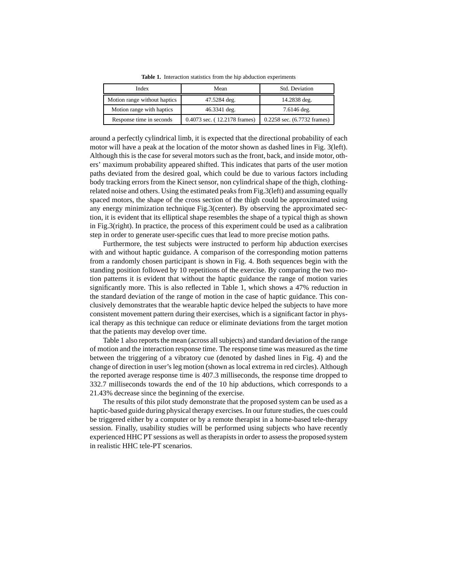| Index                        | Mean                         | Std. Deviation              |
|------------------------------|------------------------------|-----------------------------|
| Motion range without haptics | 47.5284 deg.                 | 14.2838 deg.                |
| Motion range with haptics    | 46.3341 deg.                 | $7.6146$ deg.               |
| Response time in seconds     | 0.4073 sec. (12.2178 frames) | 0.2258 sec. (6.7732 frames) |

**Table 1.** Interaction statistics from the hip abduction experiments

around a perfectly cylindrical limb, it is expected that the directional probability of each motor will have a peak at the location of the motor shown as dashed lines in Fig. 3(left). Although this is the case for several motors such as the front, back, and inside motor, others' maximum probability appeared shifted. This indicates that parts of the user motion paths deviated from the desired goal, which could be due to various factors including body tracking errors from the Kinect sensor, non cylindrical shape of the thigh, clothingrelated noise and others. Using the estimated peaks from Fig.3(left) and assuming equally spaced motors, the shape of the cross section of the thigh could be approximated using any energy minimization technique Fig.3(center). By observing the approximated section, it is evident that its elliptical shape resembles the shape of a typical thigh as shown in Fig.3(right). In practice, the process of this experiment could be used as a calibration step in order to generate user-specific cues that lead to more precise motion paths.

Furthermore, the test subjects were instructed to perform hip abduction exercises with and without haptic guidance. A comparison of the corresponding motion patterns from a randomly chosen participant is shown in Fig. 4. Both sequences begin with the standing position followed by 10 repetitions of the exercise. By comparing the two motion patterns it is evident that without the haptic guidance the range of motion varies significantly more. This is also reflected in Table 1, which shows a 47% reduction in the standard deviation of the range of motion in the case of haptic guidance. This conclusively demonstrates that the wearable haptic device helped the subjects to have more consistent movement pattern during their exercises, which is a significant factor in physical therapy as this technique can reduce or eliminate deviations from the target motion that the patients may develop over time.

Table 1 also reports the mean (across all subjects) and standard deviation of the range of motion and the interaction response time. The response time was measured as the time between the triggering of a vibratory cue (denoted by dashed lines in Fig. 4) and the change of direction in user's leg motion (shown as local extrema in red circles). Although the reported average response time is 407.3 milliseconds, the response time dropped to 332.7 milliseconds towards the end of the 10 hip abductions, which corresponds to a 21.43% decrease since the beginning of the exercise.

The results of this pilot study demonstrate that the proposed system can be used as a haptic-based guide during physical therapy exercises. In our future studies, the cues could be triggered either by a computer or by a remote therapist in a home-based tele-therapy session. Finally, usability studies will be performed using subjects who have recently experienced HHC PT sessions as well as therapists in order to assess the proposed system in realistic HHC tele-PT scenarios.